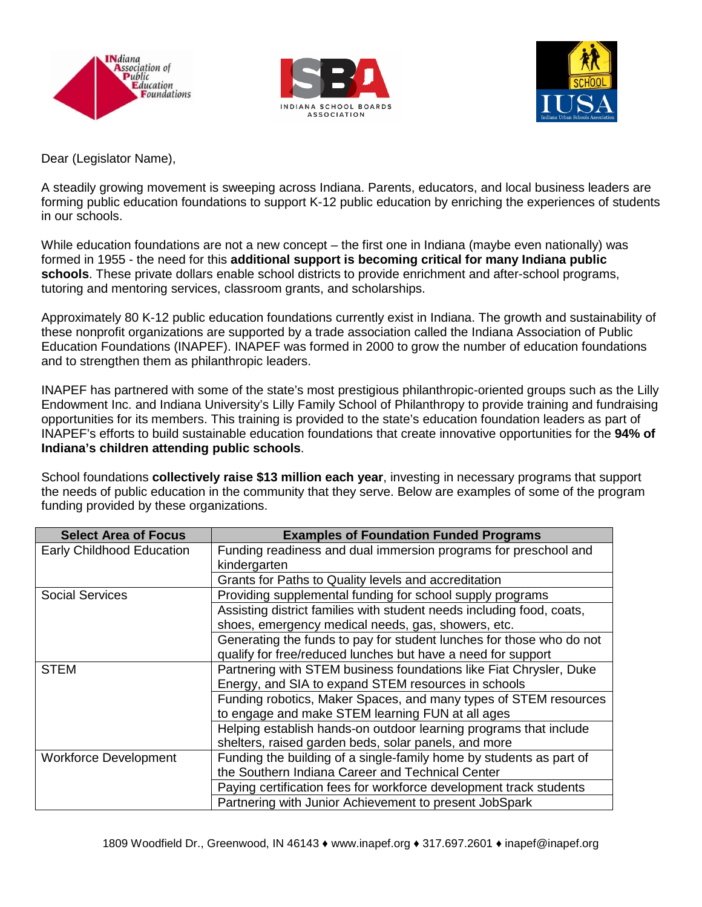





Dear (Legislator Name),

A steadily growing movement is sweeping across Indiana. Parents, educators, and local business leaders are forming public education foundations to support K-12 public education by enriching the experiences of students in our schools.

While education foundations are not a new concept – the first one in Indiana (maybe even nationally) was formed in 1955 - the need for this **additional support is becoming critical for many Indiana public schools**. These private dollars enable school districts to provide enrichment and after-school programs, tutoring and mentoring services, classroom grants, and scholarships.

Approximately 80 K-12 public education foundations currently exist in Indiana. The growth and sustainability of these nonprofit organizations are supported by a trade association called the Indiana Association of Public Education Foundations (INAPEF). INAPEF was formed in 2000 to grow the number of education foundations and to strengthen them as philanthropic leaders.

INAPEF has partnered with some of the state's most prestigious philanthropic-oriented groups such as the Lilly Endowment Inc. and Indiana University's Lilly Family School of Philanthropy to provide training and fundraising opportunities for its members. This training is provided to the state's education foundation leaders as part of INAPEF's efforts to build sustainable education foundations that create innovative opportunities for the **94% of Indiana's children attending public schools**.

School foundations **collectively raise \$13 million each year**, investing in necessary programs that support the needs of public education in the community that they serve. Below are examples of some of the program funding provided by these organizations.

| <b>Select Area of Focus</b>      | <b>Examples of Foundation Funded Programs</b>                         |
|----------------------------------|-----------------------------------------------------------------------|
| <b>Early Childhood Education</b> | Funding readiness and dual immersion programs for preschool and       |
|                                  | kindergarten                                                          |
|                                  | Grants for Paths to Quality levels and accreditation                  |
| <b>Social Services</b>           | Providing supplemental funding for school supply programs             |
|                                  | Assisting district families with student needs including food, coats, |
|                                  | shoes, emergency medical needs, gas, showers, etc.                    |
|                                  | Generating the funds to pay for student lunches for those who do not  |
|                                  | qualify for free/reduced lunches but have a need for support          |
| <b>STEM</b>                      | Partnering with STEM business foundations like Fiat Chrysler, Duke    |
|                                  | Energy, and SIA to expand STEM resources in schools                   |
|                                  | Funding robotics, Maker Spaces, and many types of STEM resources      |
|                                  | to engage and make STEM learning FUN at all ages                      |
|                                  | Helping establish hands-on outdoor learning programs that include     |
|                                  | shelters, raised garden beds, solar panels, and more                  |
| <b>Workforce Development</b>     | Funding the building of a single-family home by students as part of   |
|                                  | the Southern Indiana Career and Technical Center                      |
|                                  | Paying certification fees for workforce development track students    |
|                                  | Partnering with Junior Achievement to present JobSpark                |